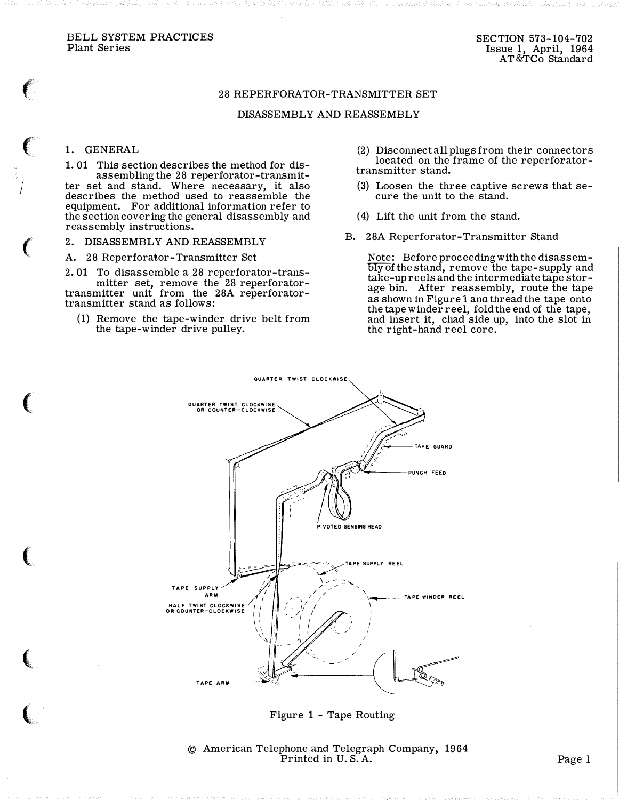BELL SYSTEM PRACTICES Plant Series

## 28 REPERFORATOR-TRANSMITTER SET

## DISASSEMBLY AND REASSEMBLY

## 1. GENERAL

I

**CONTRACTOR** 

1. 01 This section describes the method for disassembling the 28 reperforator-transmitter set and stand. Where necessary, it also describes the method used to reassemble the equipment. For additional information refer to the section covering the general disassembly and reassembly instructions.

A. 28 Reperforator-Transmitter Set

2. 01 To disassemble a 28 reperforator-transmitter set, remove the 28 reperforatortransmitter unit from the 28A reperforatortransmitter stand as follows:

(1) Remove the tape-winder drive belt from the tape-winder drive pulley.

- (2) Disconnect all plugs from their connectors located on the frame of the reperforatortransmitter stand.
- (3) Loosen the three captive screws that secure the unit to the stand.
- ( 4) Lift the unit from the stand.
- 2. DISASSEMBLY AND REASSEMBLY B. 28A Reperforator-Transmitter Stand

 $\overline{\text{bly}}$  of the stand, remove the tape-supply and Note: Before proceeding with the disassemtake-up reels and the intermediate tape storage bin. After reassembly, route the tape as shown in Figure 1 ana thread the tape onto the tape winder reel, fold the end of the tape, and insert it, chad side up, into the slot in the right-hand reel core.



Figure 1 - Tape Routing

© American Telephone and Telegraph Company, 1964  $\sum_{i=1}^{n} P_{i}$  Printed in U.S.A.  $\sum_{i=1}^{n} P_{i}$  Page 1